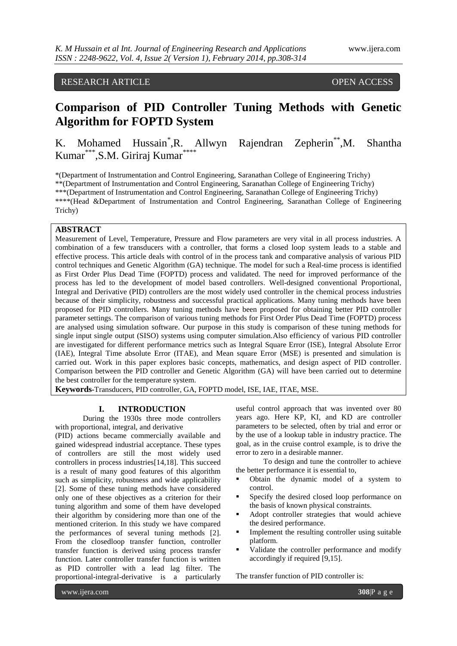# RESEARCH ARTICLE OPEN ACCESS

# **Comparison of PID Controller Tuning Methods with Genetic Algorithm for FOPTD System**

K. Mohamed Hussain\* ,R. Allwyn Rajendran Zepherin\*\*,M. Shantha Kumar\*\*\*, S.M. Giriraj Kumar\*\*\*\*

\*(Department of Instrumentation and Control Engineering, Saranathan College of Engineering Trichy) \*\*(Department of Instrumentation and Control Engineering, Saranathan College of Engineering Trichy) \*\*\*(Department of Instrumentation and Control Engineering, Saranathan College of Engineering Trichy) \*\*\*\*(Head &Department of Instrumentation and Control Engineering, Saranathan College of Engineering Trichy)

#### **ABSTRACT**

Measurement of Level, Temperature, Pressure and Flow parameters are very vital in all process industries. A combination of a few transducers with a controller, that forms a closed loop system leads to a stable and effective process. This article deals with control of in the process tank and comparative analysis of various PID control techniques and Genetic Algorithm (GA) technique. The model for such a Real-time process is identified as First Order Plus Dead Time (FOPTD) process and validated. The need for improved performance of the process has led to the development of model based controllers. Well-designed conventional Proportional, Integral and Derivative (PID) controllers are the most widely used controller in the chemical process industries because of their simplicity, robustness and successful practical applications. Many tuning methods have been proposed for PID controllers. Many tuning methods have been proposed for obtaining better PID controller parameter settings. The comparison of various tuning methods for First Order Plus Dead Time (FOPTD) process are analysed using simulation software. Our purpose in this study is comparison of these tuning methods for single input single output (SISO) systems using computer simulation.Also efficiency of various PID controller are investigated for different performance metrics such as Integral Square Error (ISE), Integral Absolute Error (IAE), Integral Time absolute Error (ITAE), and Mean square Error (MSE) is presented and simulation is carried out. Work in this paper explores basic concepts, mathematics, and design aspect of PID controller. Comparison between the PID controller and Genetic Algorithm (GA) will have been carried out to determine the best controller for the temperature system.

**Keywords-**Transducers, PID controller, GA, FOPTD model, ISE, IAE, ITAE, MSE.

#### **I. INTRODUCTION**

During the 1930s three mode controllers with proportional, integral, and derivative

(PID) actions became commercially available and gained widespread industrial acceptance. These types of controllers are still the most widely used controllers in process industries[14,18]. This succeed is a result of many good features of this algorithm such as simplicity, robustness and wide applicability [2]. Some of these tuning methods have considered only one of these objectives as a criterion for their tuning algorithm and some of them have developed their algorithm by considering more than one of the mentioned criterion. In this study we have compared the performances of several tuning methods [2]. From the closedloop transfer function, controller transfer function is derived using process transfer function. Later controller transfer function is written as PID controller with a lead lag filter. The proportional-integral-derivative is a particularly

useful control approach that was invented over 80 years ago. Here KP, KI, and KD are controller parameters to be selected, often by trial and error or by the use of a lookup table in industry practice. The goal, as in the cruise control example, is to drive the error to zero in a desirable manner.

To design and tune the controller to achieve the better performance it is essential to,

- Obtain the dynamic model of a system to control.
- Specify the desired closed loop performance on the basis of known physical constraints.
- Adopt controller strategies that would achieve the desired performance.
- Implement the resulting controller using suitable platform.
- Validate the controller performance and modify accordingly if required [9,15].

The transfer function of PID controller is: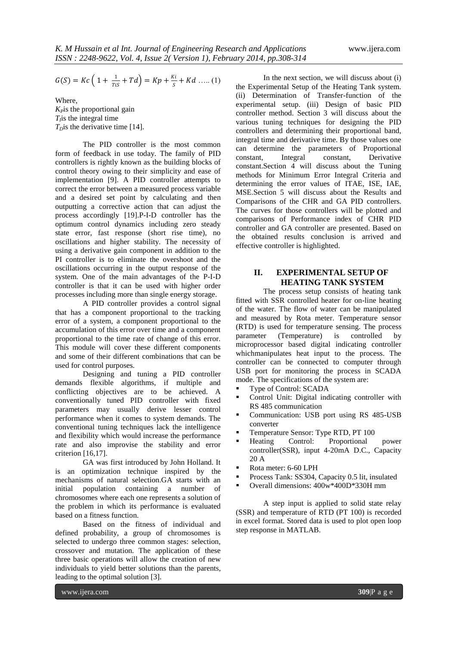$$
G(S)=Kc\left(\left.1+\frac{1}{\textit{ris}}+\textit{Td}\right.\right)=Kp+\frac{\textit{ki}}{\textit{s}}+\textit{Kd}\,\ldots\ldots(1)
$$

Where,  $K<sub>p</sub>$ is the proportional gain  $T_f$  is the integral time  $T<sub>D</sub>$ is the derivative time [14].

The PID controller is the most common form of feedback in use today. The family of PID controllers is rightly known as the building blocks of control theory owing to their simplicity and ease of implementation [9]. A PID controller attempts to correct the error between a measured process variable and a desired set point by calculating and then outputting a corrective action that can adjust the process accordingly [19].P-I-D controller has the optimum control dynamics including zero steady state error, fast response (short rise time), no oscillations and higher stability. The necessity of using a derivative gain component in addition to the PI controller is to eliminate the overshoot and the oscillations occurring in the output response of the system. One of the main advantages of the P-I-D controller is that it can be used with higher order processes including more than single energy storage.

A PID controller provides a control signal that has a component proportional to the tracking error of a system, a component proportional to the accumulation of this error over time and a component proportional to the time rate of change of this error. This module will cover these different components and some of their different combinations that can be used for control purposes.

Designing and tuning a PID controller demands flexible algorithms, if multiple and conflicting objectives are to be achieved. A conventionally tuned PID controller with fixed parameters may usually derive lesser control performance when it comes to system demands. The conventional tuning techniques lack the intelligence and flexibility which would increase the performance rate and also improvise the stability and error criterion [16,17].

GA was first introduced by John Holland. It is an optimization technique inspired by the mechanisms of natural selection.GA starts with an initial population containing a number of chromosomes where each one represents a solution of the problem in which its performance is evaluated based on a fitness function.

Based on the fitness of individual and defined probability, a group of chromosomes is selected to undergo three common stages: selection, crossover and mutation. The application of these three basic operations will allow the creation of new individuals to yield better solutions than the parents, leading to the optimal solution [3].

In the next section, we will discuss about (i) the Experimental Setup of the Heating Tank system. (ii) Determination of Transfer-function of the experimental setup. (iii) Design of basic PID controller method. Section 3 will discuss about the various tuning techniques for designing the PID controllers and determining their proportional band, integral time and derivative time. By those values one can determine the parameters of Proportional constant, Integral constant, Derivative constant.Section 4 will discuss about the Tuning methods for Minimum Error Integral Criteria and determining the error values of ITAE, ISE, IAE, MSE.Section 5 will discuss about the Results and Comparisons of the CHR and GA PID controllers. The curves for those controllers will be plotted and comparisons of Performance index of CHR PID controller and GA controller are presented. Based on the obtained results conclusion is arrived and effective controller is highlighted.

## **II. EXPERIMENTAL SETUP OF HEATING TANK SYSTEM**

The process setup consists of heating tank fitted with SSR controlled heater for on-line heating of the water. The flow of water can be manipulated and measured by Rota meter. Temperature sensor (RTD) is used for temperature sensing. The process parameter (Temperature) is controlled by microprocessor based digital indicating controller whichmanipulates heat input to the process. The controller can be connected to computer through USB port for monitoring the process in SCADA mode. The specifications of the system are:

- Type of Control: SCADA
- Control Unit: Digital indicating controller with RS 485 communication
- Communication: USB port using RS 485-USB converter
- Temperature Sensor: Type RTD, PT 100
- Heating Control: Proportional power controller(SSR), input 4-20mA D.C., Capacity 20 A
- Rota meter: 6-60 LPH
- Process Tank: SS304, Capacity 0.5 lit, insulated
- Overall dimensions: 400w\*400D\*330H mm

A step input is applied to solid state relay (SSR) and temperature of RTD (PT 100) is recorded in excel format. Stored data is used to plot open loop step response in MATLAB.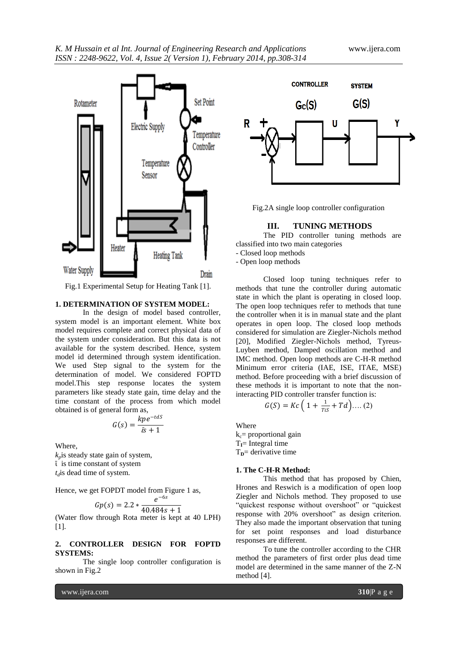

Fig.1 Experimental Setup for Heating Tank [1].

## **1. DETERMINATION OF SYSTEM MODEL:**

In the design of model based controller, system model is an important element. White box model requires complete and correct physical data of the system under consideration. But this data is not available for the system described. Hence, system model id determined through system identification. We used Step signal to the system for the determination of model. We considered FOPTD model.This step response locates the system parameters like steady state gain, time delay and the time constant of the process from which model obtained is of general form as,

$$
G(s) = \frac{kpe^{-tdS}}{\bar{a}s+1}
$$

Where,

 $k_p$ is steady state gain of system, ῑ is time constant of system *td*is dead time of system.

Hence, we get FOPDT model from Figure 1 as,

$$
Gp(s) = 2.2 * \frac{e^{-6s}}{40.484s + 1}
$$

(Water flow through Rota meter is kept at 40 LPH) [1].

## **2. CONTROLLER DESIGN FOR FOPTD SYSTEMS:**

The single loop controller configuration is shown in Fig.2



Fig.2A single loop controller configuration

#### **III. TUNING METHODS**

The PID controller tuning methods are classified into two main categories

- Closed loop methods

- Open loop methods

Closed loop tuning techniques refer to methods that tune the controller during automatic state in which the plant is operating in closed loop. The open loop techniques refer to methods that tune the controller when it is in manual state and the plant operates in open loop. The closed loop methods considered for simulation are Ziegler-Nichols method [20], Modified Ziegler-Nichols method, Tyreus-Luyben method, Damped oscillation method and IMC method. Open loop methods are C-H-R method Minimum error criteria (IAE, ISE, ITAE, MSE) method. Before proceeding with a brief discussion of these methods it is important to note that the noninteracting PID controller transfer function is:

$$
G(S) = Kc \left( 1 + \frac{1}{T(S)} + Td \right) \dots (2)
$$

Where

 $k_c$ = proportional gain  $T<sub>I</sub>$  Integral time  $T<sub>D</sub>$  derivative time

#### **1. The C-H-R Method:**

This method that has proposed by Chien, Hrones and Reswich is a modification of open loop Ziegler and Nichols method. They proposed to use "quickest response without overshoot" or "quickest response with 20% overshoot" as design criterion. They also made the important observation that tuning for set point responses and load disturbance responses are different.

To tune the controller according to the CHR method the parameters of first order plus dead time model are determined in the same manner of the Z-N method [4].

www.ijera.com **310**|P a g e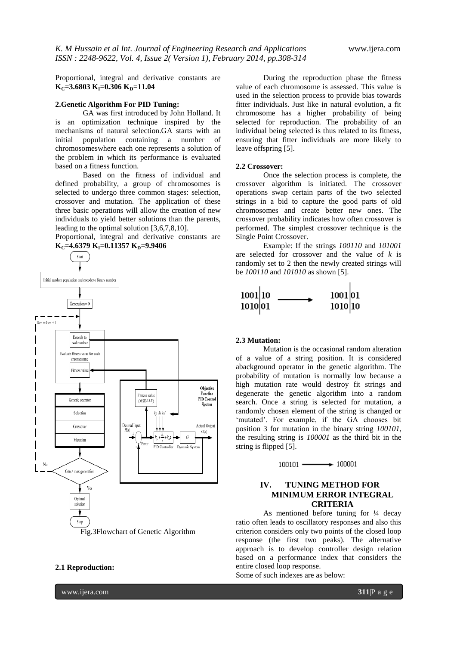Proportional, integral and derivative constants are  $K_C = 3.6803 K_I = 0.306 K_D = 11.04$ 

#### **2.Genetic Algorithm For PID Tuning:**

GA was first introduced by John Holland. It is an optimization technique inspired by the mechanisms of natural selection.GA starts with an initial population containing a number of chromosomeswhere each one represents a solution of the problem in which its performance is evaluated based on a fitness function.

Based on the fitness of individual and defined probability, a group of chromosomes is selected to undergo three common stages: selection, crossover and mutation. The application of these three basic operations will allow the creation of new individuals to yield better solutions than the parents, leading to the optimal solution [3,6,7,8,10].

Proportional, integral and derivative constants are **K**<sub>C</sub>=4.6379 **K**<sub>I</sub>=0.11357 **K**<sub>D</sub>=9.9406



Fig.3Flowchart of Genetic Algorithm

### **2.1 Reproduction:**

www.ijera.com **311**|P a g e

During the reproduction phase the fitness value of each chromosome is assessed. This value is used in the selection process to provide bias towards fitter individuals. Just like in natural evolution, a fit chromosome has a higher probability of being selected for reproduction. The probability of an individual being selected is thus related to its fitness, ensuring that fitter individuals are more likely to leave offspring [5].

#### **2.2 Crossover:**

Once the selection process is complete, the crossover algorithm is initiated. The crossover operations swap certain parts of the two selected strings in a bid to capture the good parts of old chromosomes and create better new ones. The crossover probability indicates how often crossover is performed. The simplest crossover technique is the Single Point Crossover.

Example: If the strings *100110* and *101001*  are selected for crossover and the value of *k* is randomly set to 2 then the newly created strings will be *100110* and *101010* as shown [5].



### **2.3 Mutation:**

Mutation is the occasional random alteration of a value of a string position. It is considered abackground operator in the genetic algorithm. The probability of mutation is normally low because a high mutation rate would destroy fit strings and degenerate the genetic algorithm into a random search. Once a string is selected for mutation, a randomly chosen element of the string is changed or 'mutated'. For example, if the GA chooses bit position 3 for mutation in the binary string *100101*, the resulting string is *100001* as the third bit in the string is flipped [5].

 $100101$   $\longrightarrow$  100001

## **IV. TUNING METHOD FOR MINIMUM ERROR INTEGRAL CRITERIA**

As mentioned before tuning for  $\frac{1}{4}$  decay ratio often leads to oscillatory responses and also this criterion considers only two points of the closed loop response (the first two peaks). The alternative approach is to develop controller design relation based on a performance index that considers the entire closed loop response.

Some of such indexes are as below: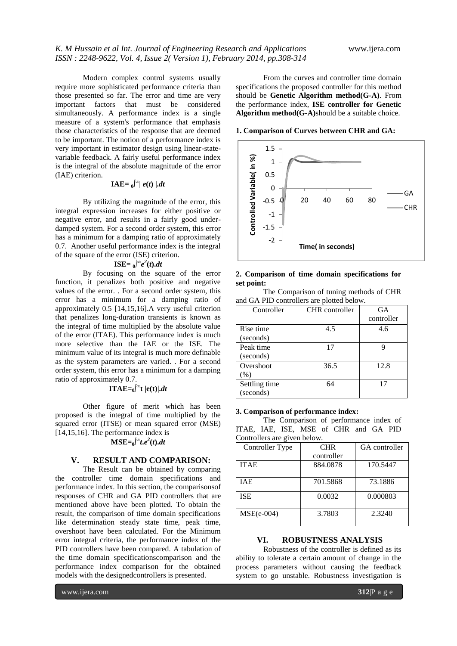Modern complex control systems usually require more sophisticated performance criteria than those presented so far. The error and time are very important factors that must be considered simultaneously. A performance index is a single measure of a system's performance that emphasis those characteristics of the response that are deemed to be important. The notion of a performance index is very important in estimator design using linear-statevariable feedback. A fairly useful performance index is the integral of the absolute magnitude of the error (IAE) criterion.

# **IAE**= $\int_0^\infty |e(t)| \, dt$

By utilizing the magnitude of the error, this integral expression increases for either positive or negative error, and results in a fairly good underdamped system. For a second order system, this error has a minimum for a damping ratio of approximately 0.7. Another useful performance index is the integral of the square of the error (ISE) criterion.

# $\mathbf{ISE} = \mathbf{0} \int_0^\infty e^2(t) dt$

By focusing on the square of the error function, it penalizes both positive and negative values of the error. . For a second order system, this error has a minimum for a damping ratio of approximately 0.5 [14,15,16].A very useful criterion that penalizes long-duration transients is known as the integral of time multiplied by the absolute value of the error (ITAE). This performance index is much more selective than the IAE or the ISE. The minimum value of its integral is much more definable as the system parameters are varied. . For a second order system, this error has a minimum for a damping ratio of approximately 0.7.

# **ITAE**= $_0$ <sup>[ $\infty$ </sup>**t** |**e**(**t**)|*.dt*

Other figure of merit which has been proposed is the integral of time multiplied by the squared error (ITSE) or mean squared error (MSE) [14,15,16]. The performance index is

# $MSE = 0$ <sup> $\int_0^\infty t \cdot e^2(t) dt$ </sup>

## **V. RESULT AND COMPARISON:**

The Result can be obtained by comparing the controller time domain specifications and performance index. In this section, the comparisonsof responses of CHR and GA PID controllers that are mentioned above have been plotted. To obtain the result, the comparison of time domain specifications like determination steady state time, peak time, overshoot have been calculated. For the Minimum error integral criteria, the performance index of the PID controllers have been compared. A tabulation of the time domain specificationscomparison and the performance index comparison for the obtained models with the designedcontrollers is presented.

From the curves and controller time domain specifications the proposed controller for this method should be **Genetic Algorithm method(G-A)**. From the performance index, **ISE controller for Genetic Algorithm method(G-A)**should be a suitable choice.

**1. Comparison of Curves between CHR and GA:**



#### **2. Comparison of time domain specifications for set point:**

The Comparison of tuning methods of CHR and GA PID controllers are plotted below.

| Controller    | <b>CHR</b> controller | GA         |
|---------------|-----------------------|------------|
|               |                       | controller |
| Rise time     | 4.5                   | 4.6        |
| (seconds)     |                       |            |
| Peak time     | 17                    |            |
| (seconds)     |                       |            |
| Overshoot     | 36.5                  | 12.8       |
| (% )          |                       |            |
| Settling time | 64                    | 17         |
| (seconds)     |                       |            |

#### **3. Comparison of performance index:**

The Comparison of performance index of ITAE, IAE, ISE, MSE of CHR and GA PID Controllers are given below.

| Controller Type | <b>CHR</b> | GA controller |
|-----------------|------------|---------------|
|                 | controller |               |
| <b>ITAE</b>     | 884.0878   | 170.5447      |
|                 |            |               |
| <b>TAE</b>      | 701.5868   | 73.1886       |
|                 |            |               |
| <b>ISE</b>      | 0.0032     | 0.000803      |
|                 |            |               |
| $MSE(e-004)$    | 3.7803     | 2.3240        |
|                 |            |               |

## **VI. ROBUSTNESS ANALYSIS**

Robustness of the controller is defined as its ability to tolerate a certain amount of change in the process parameters without causing the feedback system to go unstable. Robustness investigation is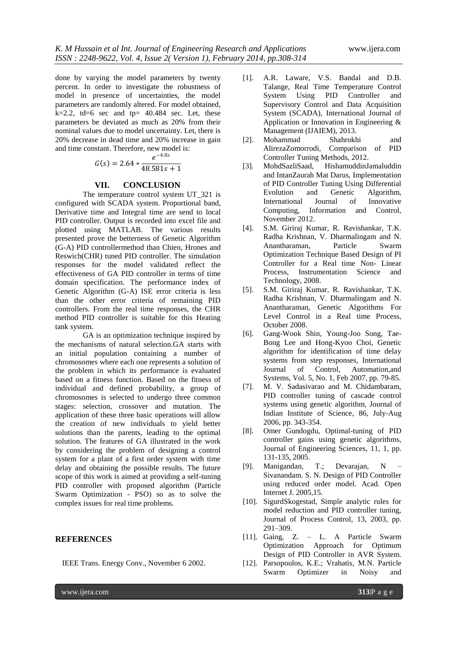done by varying the model parameters by twenty percent. In order to investigate the robustness of model in presence of uncertainties, the model parameters are randomly altered. For model obtained,  $k=2.2$ , td=6 sec and tp= 40.484 sec. Let, these parameters be deviated as much as 20% from their nominal values due to model uncertainty. Let, there is 20% decrease in dead time and 20% increase in gain and time constant. Therefore, new model is:

$$
G(s) = 2.64 * \frac{e^{-4.8s}}{48.581s + 1}
$$

#### **VII. CONCLUSION**

The temperature control system UT\_321 is configured with SCADA system. Proportional band, Derivative time and Integral time are send to local PID controller. Output is recorded into excel file and plotted using MATLAB. The various results presented prove the betterness of Genetic Algorithm (G-A) PID controllermethod than Chien, Hrones and Reswich(CHR) tuned PID controller. The simulation responses for the model validated reflect the effectiveness of GA PID controller in terms of time domain specification. The performance index of Genetic Algorithm (G-A) ISE error criteria is less than the other error criteria of remaining PID controllers. From the real time responses, the CHR method PID controller is suitable for this Heating tank system.

GA is an optimization technique inspired by the mechanisms of natural selection.GA starts with an initial population containing a number of chromosomes where each one represents a solution of the problem in which its performance is evaluated based on a fitness function. Based on the fitness of individual and defined probability, a group of chromosomes is selected to undergo three common stages: selection, crossover and mutation. The application of these three basic operations will allow the creation of new individuals to yield better solutions than the parents, leading to the optimal solution. The features of GA illustrated in the work by considering the problem of designing a control system for a plant of a first order system with time delay and obtaining the possible results. The future scope of this work is aimed at providing a self-tuning PID controller with proposed algorithm (Particle Swarm Optimization - PSO) so as to solve the complex issues for real time problems.

#### **REFERENCES**

- [1]. A.R. Laware, V.S. Bandal and D.B. Talange, Real Time Temperature Control System Using PID Controller and Supervisory Control and Data Acquisition System (SCADA), International Journal of Application or Innovation in Engineering & Management (IJAIEM), 2013.
- [2]. Mohammad Shahrokhi and AlirezaZomorrodi, Comparison of PID Controller Tuning Methods, 2012.
- [3]. MohdSazliSaad, HishamuddinJamaluddin and IntanZaurah Mat Darus, Implementation of PID Controller Tuning Using Differential Evolution and Genetic Algorithm, International Journal of Innovative Computing, Information and Control, November 2012.
- [4]. S.M. Giriraj Kumar, R. Ravishankar, T.K. Radha Krishnan, V. Dharmalingam and N. Anantharaman, Particle Swarm Optimization Technique Based Design of PI Controller for a Real time Non- Linear Process, Instrumentation Science and Technology, 2008.
- [5]. S.M. Giriraj Kumar, R. Ravishankar, T.K. Radha Krishnan, V. Dharmalingam and N. Anantharaman, Genetic Algorithms For Level Control in a Real time Process, October 2008.
- [6]. Gang-Wook Shin, Young-Joo Song, Tae-Bong Lee and Hong-Kyoo Choi, Genetic algorithm for identification of time delay systems from step responses, International Journal of Control, Automation,and Systems, Vol. 5, No. 1, Feb 2007, pp. 79-85.
- [7]. M. V. Sadasivarao and M. Chidambaram, PID controller tuning of cascade control systems using genetic algorithm, Journal of Indian Institute of Science, 86, July-Aug 2006, pp. 343-354.
- [8]. Omer Gundogdu, Optimal-tuning of PID controller gains using genetic algorithms, Journal of Engineering Sciences, 11, 1, pp. 131-135, 2005.
- [9]. Manigandan, T.; Devarajan, N Sivanandam. S. N. Design of PID Controller using reduced order model. Acad. Open Internet J. 2005,15.
- [10]. SigurdSkogestad, Simple analytic rules for model reduction and PID controller tuning, Journal of Process Control, 13, 2003, pp. 291–309.
- [11]. Gaing, Z. L. A Particle Swarm Optimization Approach for Optimum Design of PID Controller in AVR System.
- IEEE Trans. Energy Conv., November 6 2002. [12]. Parsopoulos, K.E.; Vrahatis, M.N. Particle Swarm Optimizer in Noisy and